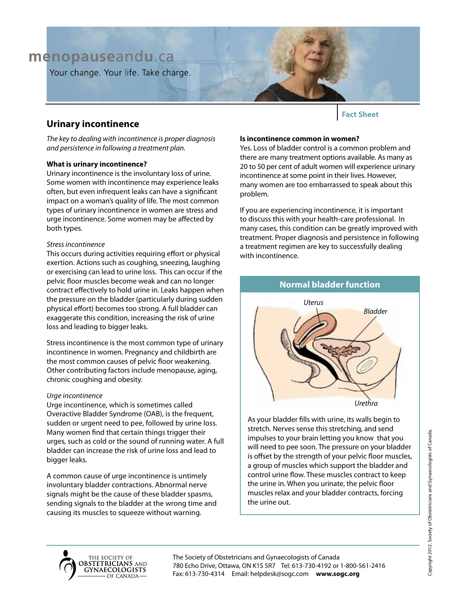## menopauseandu.ca

Your change. Your life. Take charge.

### **Urinary incontinence**

*The key to dealing with incontinence is proper diagnosis and persistence in following a treatment plan.*

#### **What is urinary incontinence?**

Urinary incontinence is the involuntary loss of urine. Some women with incontinence may experience leaks often, but even infrequent leaks can have a significant impact on a woman's quality of life. The most common types of urinary incontinence in women are stress and urge incontinence. Some women may be affected by both types.

#### *Stress incontinence*

This occurs during activities requiring effort or physical exertion. Actions such as coughing, sneezing, laughing or exercising can lead to urine loss. This can occur if the pelvic floor muscles become weak and can no longer contract effectively to hold urine in. Leaks happen when the pressure on the bladder (particularly during sudden physical effort) becomes too strong. A full bladder can exaggerate this condition, increasing the risk of urine loss and leading to bigger leaks.

Stress incontinence is the most common type of urinary incontinence in women. Pregnancy and childbirth are the most common causes of pelvic floor weakening. Other contributing factors include menopause, aging, chronic coughing and obesity.

#### *Urge incontinence*

Urge incontinence, which is sometimes called Overactive Bladder Syndrome (OAB), is the frequent, sudden or urgent need to pee, followed by urine loss. Many women find that certain things trigger their urges, such as cold or the sound of running water. A full bladder can increase the risk of urine loss and lead to bigger leaks.

A common cause of urge incontinence is untimely involuntary bladder contractions. Abnormal nerve signals might be the cause of these bladder spasms, sending signals to the bladder at the wrong time and causing its muscles to squeeze without warning.

**Is incontinence common in women?**

Yes. Loss of bladder control is a common problem and there are many treatment options available. As many as 20 to 50 per cent of adult women will experience urinary incontinence at some point in their lives. However, many women are too embarrassed to speak about this problem.

**Fact Sheet**

If you are experiencing incontinence, it is important to discuss this with your health-care professional. In many cases, this condition can be greatly improved with treatment. Proper diagnosis and persistence in following a treatment regimen are key to successfully dealing with incontinence.

**Normal bladder function**

# *Bladder Uterus Urethra*

As your bladder fills with urine, its walls begin to stretch. Nerves sense this stretching, and send impulses to your brain letting you know that you will need to pee soon. The pressure on your bladder is offset by the strength of your pelvic floor muscles, a group of muscles which support the bladder and control urine flow. These muscles contract to keep the urine in. When you urinate, the pelvic floor muscles relax and your bladder contracts, forcing the urine out.





The Society of Obstetricians and Gynaecologists of Canada 780 Echo Drive, Ottawa, ON K1S 5R7 Tel: 613-730-4192 or 1-800-561-2416 Fax: 613-730-4314 Email: helpdesk@sogc.com **www.sogc.org**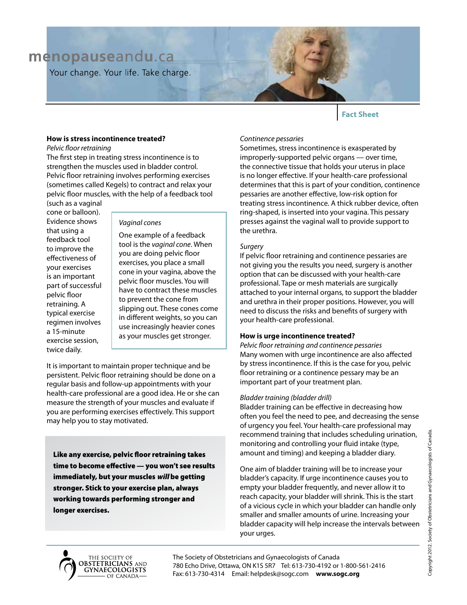## menopauseandu.ca

Your change. Your life. Take charge.

#### **Fact Sheet**

#### **How is stress incontinence treated?**

*Pelvic floor retraining*

The first step in treating stress incontinence is to strengthen the muscles used in bladder control. Pelvic floor retraining involves performing exercises (sometimes called Kegels) to contract and relax your pelvic floor muscles, with the help of a feedback tool

(such as a vaginal cone or balloon). Evidence shows that using a feedback tool to improve the effectiveness of your exercises is an important part of successful pelvic floor retraining. A typical exercise regimen involves a 15-minute exercise session, twice daily.

#### *Vaginal cones*

One example of a feedback tool is the *vaginal cone*. When you are doing pelvic floor exercises, you place a small cone in your vagina, above the pelvic floor muscles. You will have to contract these muscles to prevent the cone from slipping out. These cones come in different weights, so you can use increasingly heavier cones as your muscles get stronger.

It is important to maintain proper technique and be persistent. Pelvic floor retraining should be done on a regular basis and follow-up appointments with your health-care professional are a good idea. He or she can measure the strength of your muscles and evaluate if you are performing exercises effectively. This support may help you to stay motivated.

Like any exercise, pelvic floor retraining takes time to become effective — you won't see results immediately, but your muscles will be getting stronger. Stick to your exercise plan, always working towards performing stronger and longer exercises.

#### *Continence pessaries*

Sometimes, stress incontinence is exasperated by improperly-supported pelvic organs — over time, the connective tissue that holds your uterus in place is no longer effective. If your health-care professional determines that this is part of your condition, continence pessaries are another effective, low-risk option for treating stress incontinence. A thick rubber device, often ring-shaped, is inserted into your vagina. This pessary presses against the vaginal wall to provide support to the urethra.

#### *Surgery*

If pelvic floor retraining and continence pessaries are not giving you the results you need, surgery is another option that can be discussed with your health-care professional. Tape or mesh materials are surgically attached to your internal organs, to support the bladder and urethra in their proper positions. However, you will need to discuss the risks and benefits of surgery with your health-care professional.

#### **How is urge incontinence treated?**

*Pelvic floor retraining and continence pessaries* Many women with urge incontinence are also affected by stress incontinence. If this is the case for you, pelvic floor retraining or a continence pessary may be an important part of your treatment plan.

#### *Bladder training (bladder drill)*

Bladder training can be effective in decreasing how often you feel the need to pee, and decreasing the sense of urgency you feel. Your health-care professional may recommend training that includes scheduling urination, monitoring and controlling your fluid intake (type, amount and timing) and keeping a bladder diary.

One aim of bladder training will be to increase your bladder's capacity. If urge incontinence causes you to empty your bladder frequently, and never allow it to reach capacity, your bladder will shrink. This is the start of a vicious cycle in which your bladder can handle only smaller and smaller amounts of urine. Increasing your bladder capacity will help increase the intervals between your urges.



The Society of Obstetricians and Gynaecologists of Canada 780 Echo Drive, Ottawa, ON K1S 5R7 Tel: 613-730-4192 or 1-800-561-2416 Fax: 613-730-4314 Email: helpdesk@sogc.com **www.sogc.org**